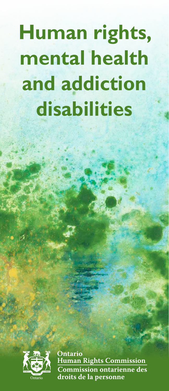# **Human rights, mental health and addiction disabilities**



Ontario **Human Rights Commission** Commission ontarienne des droits de la personne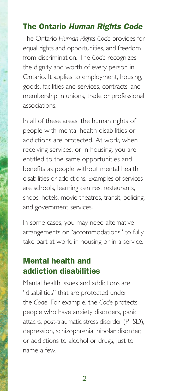# The Ontario *Human Rights Code*

The Ontario *Human Rights Code* provides for equal rights and opportunities, and freedom from discrimination. The *Code* recognizes the dignity and worth of every person in Ontario. It applies to employment, housing, goods, facilities and services, contracts, and membership in unions, trade or professional associations.

In all of these areas, the human rights of people with mental health disabilities or addictions are protected. At work, when receiving services, or in housing, you are entitled to the same opportunities and benefits as people without mental health disabilities or addictions. Examples of services are schools, learning centres, restaurants, shops, hotels, movie theatres, transit, policing, and government services.

In some cases, you may need alternative arrangements or "accommodations" to fully take part at work, in housing or in a service.

# Mental health and addiction disabilities

Mental health issues and addictions are "disabilities" that are protected under the *Code*. For example, the *Code* protects people who have anxiety disorders, panic attacks, post-traumatic stress disorder (PTSD), depression, schizophrenia, bipolar disorder, or addictions to alcohol or drugs, just to name a few.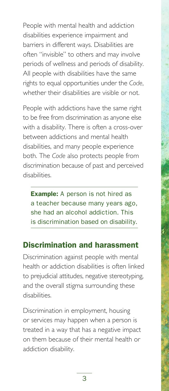People with mental health and addiction disabilities experience impairment and barriers in different ways. Disabilities are often "invisible" to others and may involve periods of wellness and periods of disability. All people with disabilities have the same rights to equal opportunities under the *Code*, whether their disabilities are visible or not.

People with addictions have the same right to be free from discrimination as anyone else with a disability. There is often a cross-over between addictions and mental health disabilities, and many people experience both. The *Code* also protects people from discrimination because of past and perceived disabilities.

**Example:** A person is not hired as a teacher because many years ago, she had an alcohol addiction. This is discrimination based on disability.

### Discrimination and harassment

Discrimination against people with mental health or addiction disabilities is often linked to prejudicial attitudes, negative stereotyping, and the overall stigma surrounding these disabilities.

Discrimination in employment, housing or services may happen when a person is treated in a way that has a negative impact on them because of their mental health or addiction disability.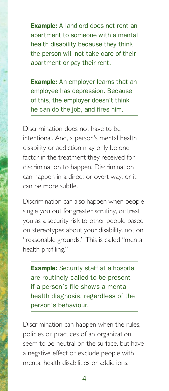**Example:** A landlord does not rent an apartment to someone with a mental health disability because they think the person will not take care of their apartment or pay their rent.

**Example:** An employer learns that an employee has depression. Because of this, the employer doesn't think he can do the job, and fires him.

Discrimination does not have to be intentional. And, a person's mental health disability or addiction may only be one factor in the treatment they received for discrimination to happen. Discrimination can happen in a direct or overt way, or it can be more subtle.

Discrimination can also happen when people single you out for greater scrutiny, or treat you as a security risk to other people based on stereotypes about your disability, not on "reasonable grounds." This is called "mental health profiling."

**Example:** Security staff at a hospital are routinely called to be present if a person's file shows a mental health diagnosis, regardless of the person's behaviour.

Discrimination can happen when the rules, policies or practices of an organization seem to be neutral on the surface, but have a negative effect or exclude people with mental health disabilities or addictions.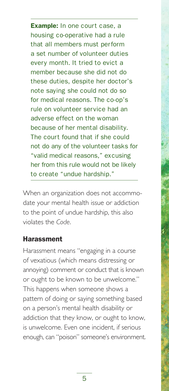**Example:** In one court case, a housing co-operative had a rule that all members must perform a set number of volunteer duties every month. It tried to evict a member because she did not do these duties, despite her doctor's note saying she could not do so for medical reasons. The co-op's rule on volunteer service had an adverse effect on the woman because of her mental disability. The court found that if she could not do any of the volunteer tasks for "valid medical reasons," excusing her from this rule would not be likely to create "undue hardship."

When an organization does not accommodate your mental health issue or addiction to the point of undue hardship, this also violates the *Code*.

#### Harassment

Harassment means "engaging in a course of vexatious (which means distressing or annoying) comment or conduct that is known or ought to be known to be unwelcome." This happens when someone shows a pattern of doing or saying something based on a person's mental health disability or addiction that they know, or ought to know, is unwelcome. Even one incident, if serious enough, can "poison" someone's environment.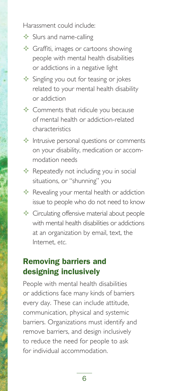Harassment could include:

- $\Diamond$  Slurs and name-calling
- $\Diamond$  Graffiti, images or cartoons showing people with mental health disabilities or addictions in a negative light
- $\Diamond$  Singling you out for teasing or jokes related to your mental health disability or addiction
- $\Diamond$  Comments that ridicule you because of mental health or addiction-related characteristics
- $\Diamond$  Intrusive personal questions or comments on your disability, medication or accommodation needs
- $\Diamond$  Repeatedly not including you in social situations, or "shunning" you
- $\Diamond$  Revealing your mental health or addiction issue to people who do not need to know
- $\Diamond$  Circulating offensive material about people with mental health disabilities or addictions at an organization by email, text, the Internet, *etc*.

# Removing barriers and designing inclusively

People with mental health disabilities or addictions face many kinds of barriers every day. These can include attitude, communication, physical and systemic barriers. Organizations must identify and remove barriers, and design inclusively to reduce the need for people to ask for individual accommodation.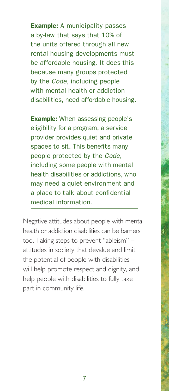**Example:** A municipality passes a by-law that says that 10% of the units offered through all new rental housing developments must be affordable housing. It does this because many groups protected by the *Code*, including people with mental health or addiction disabilities, need affordable housing.

**Example:** When assessing people's eligibility for a program, a service provider provides quiet and private spaces to sit. This benefits many people protected by the *Code*, including some people with mental health disabilities or addictions, who may need a quiet environment and a place to talk about confidential medical information.

Negative attitudes about people with mental health or addiction disabilities can be barriers too. Taking steps to prevent "ableism" – attitudes in society that devalue and limit the potential of people with disabilities – will help promote respect and dignity, and help people with disabilities to fully take part in community life.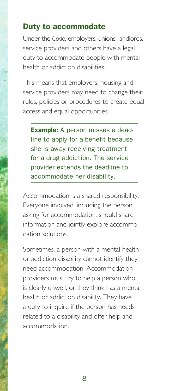### Duty to accommodate

Under the *Code*, employers, unions, landlords, service providers and others have a legal duty to accommodate people with mental health or addiction disabilities.

This means that employers, housing and service providers may need to change their rules, policies or procedures to create equal access and equal opportunities.

**Example:** A person misses a deadline to apply for a benefit because she is away receiving treatment for a drug addiction. The service provider extends the deadline to accommodate her disability.

Accommodation is a shared responsibility. Everyone involved, including the person asking for accommodation, should share information and jointly explore accommodation solutions.

Sometimes, a person with a mental health or addiction disability cannot identify they need accommodation. Accommodation providers must try to help a person who is clearly unwell, or they think has a mental health or addiction disability. They have a duty to inquire if the person has needs related to a disability and offer help and accommodation.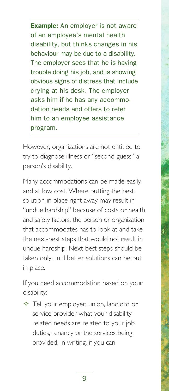**Example:** An employer is not aware of an employee's mental health disability, but thinks changes in his behaviour may be due to a disability. The employer sees that he is having trouble doing his job, and is showing obvious signs of distress that include crying at his desk. The employer asks him if he has any accommodation needs and offers to refer him to an employee assistance program.

However, organizations are not entitled to try to diagnose illness or "second-guess" a person's disability.

Many accommodations can be made easily and at low cost. Where putting the best solution in place right away may result in "undue hardship" because of costs or health and safety factors, the person or organization that accommodates has to look at and take the next-best steps that would not result in undue hardship. Next-best steps should be taken only until better solutions can be put in place.

If you need accommodation based on your disability:

 $\Diamond$  Tell your employer, union, landlord or service provider what your disabilityrelated needs are related to your job duties, tenancy or the services being provided, in writing, if you can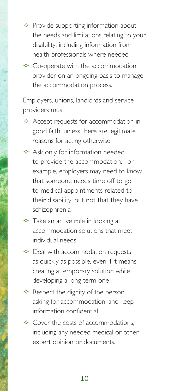$\Diamond$  Provide supporting information about the needs and limitations relating to your disability, including information from health professionals where needed

 $\Diamond$  Co-operate with the accommodation provider on an ongoing basis to manage the accommodation process.

Employers, unions, landlords and service providers must:

- $\Diamond$  Accept requests for accommodation in good faith, unless there are legitimate reasons for acting otherwise
- $\triangle$  Ask only for information needed to provide the accommodation. For example, employers may need to know that someone needs time off to go to medical appointments related to their disability, but not that they have schizophrenia
- - $\Diamond$  Take an active role in looking at accommodation solutions that meet individual needs
	- $\Diamond$  Deal with accommodation requests as quickly as possible, even if it means creating a temporary solution while developing a long-term one
	- $\Diamond$  Respect the dignity of the person asking for accommodation, and keep information confidential
	- $\Diamond$  Cover the costs of accommodations, including any needed medical or other expert opinion or documents.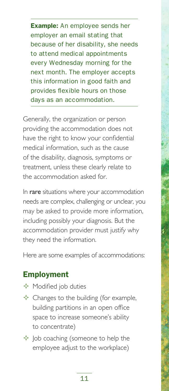**Example:** An employee sends her employer an email stating that because of her disability, she needs to attend medical appointments every Wednesday morning for the next month. The employer accepts this information in good faith and provides flexible hours on those days as an accommodation.

Generally, the organization or person providing the accommodation does not have the right to know your confidential medical information, such as the cause of the disability, diagnosis, symptoms or treatment, unless these clearly relate to the accommodation asked for.

In rare situations where your accommodation needs are complex, challenging or unclear, you may be asked to provide more information, including possibly your diagnosis. But the accommodation provider must justify why they need the information.

Here are some examples of accommodations:

## Employment

- $\Diamond$  Modified job duties
- $\triangle$  Changes to the building (for example, building partitions in an open office space to increase someone's ability to concentrate)
- $\Diamond$  Job coaching (someone to help the employee adjust to the workplace)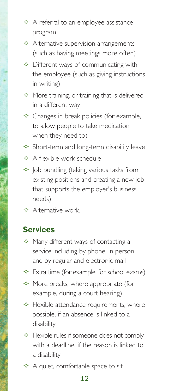- $\Diamond$  A referral to an employee assistance program
- $\triangle$  Alternative supervision arrangements (such as having meetings more often)
- $\Diamond$  Different ways of communicating with the employee (such as giving instructions in writing)
- $\Diamond$  More training, or training that is delivered in a different way
- $\triangle$  Changes in break policies (for example, to allow people to take medication when they need to)
- $\Diamond$  Short-term and long-term disability leave
- $\Diamond$  A flexible work schedule
- $\Diamond$  Job bundling (taking various tasks from existing positions and creating a new job that supports the employer's business needs)
- $\Diamond$  Alternative work.

#### Services

- $\Diamond$  Many different ways of contacting a service including by phone, in person and by regular and electronic mail
- $\triangle$  Extra time (for example, for school exams)
- $\Diamond$  More breaks, where appropriate (for example, during a court hearing)
- $\Diamond$  Flexible attendance requirements, where possible, if an absence is linked to a disability
- $\Diamond$  Flexible rules if someone does not comply with a deadline, if the reason is linked to a disability
- $\triangle$  A quiet, comfortable space to sit

#### 12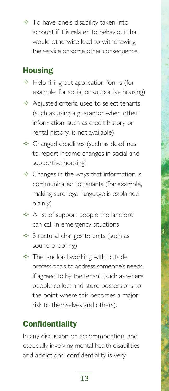$\Diamond$  To have one's disability taken into account if it is related to behaviour that would otherwise lead to withdrawing the service or some other consequence.

# **Housing**

- $\triangle$  Help filling out application forms (for example, for social or supportive housing)
- $\triangle$  Adjusted criteria used to select tenants (such as using a guarantor when other information, such as credit history or rental history, is not available)
- $\triangle$  Changed deadlines (such as deadlines to report income changes in social and supportive housing)
- $\Diamond$  Changes in the ways that information is communicated to tenants (for example, making sure legal language is explained plainly)
- $\triangle$  A list of support people the landlord can call in emergency situations
- $\triangle$  Structural changes to units (such as sound-proofing)
- $\Diamond$  The landlord working with outside professionals to address someone's needs, if agreed to by the tenant (such as where people collect and store possessions to the point where this becomes a major risk to themselves and others).

# **Confidentiality**

In any discussion on accommodation, and especially involving mental health disabilities and addictions, confidentiality is very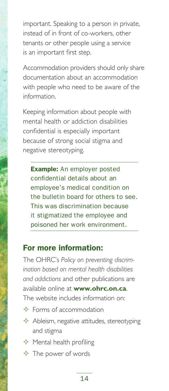important. Speaking to a person in private, instead of in front of co-workers, other tenants or other people using a service is an important first step.

Accommodation providers should only share documentation about an accommodation with people who need to be aware of the information.

Keeping information about people with mental health or addiction disabilities confidential is especially important because of strong social stigma and negative stereotyping.

**Example:** An employer posted confidential details about an employee's medical condition on the bulletin board for others to see. This was discrimination because it stigmatized the employee and poisoned her work environment.

### For more information:

The OHRC's *Policy on preventing discrimination based on mental health disabilities and addictions* and other publications are available online at **[www.ohrc.on.ca](http://www.ohrc.on.ca)**. The website includes information on:

- $\diamond$  Forms of accommodation
- $\triangle$  Ableism, negative attitudes, stereotyping and stigma
- $\Leftrightarrow$  Mental health profiling
- $\triangle$  The power of words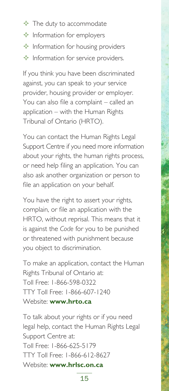- $\Diamond$  The duty to accommodate
- $\Diamond$  Information for employers
- $\Diamond$  Information for housing providers
- $\Diamond$  Information for service providers.

If you think you have been discriminated against, you can speak to your service provider, housing provider or employer. You can also file a complaint – called an application – with the Human Rights Tribunal of Ontario (HRTO).

You can contact the Human Rights Legal Support Centre if you need more information about your rights, the human rights process, or need help filing an application. You can also ask another organization or person to file an application on your behalf.

You have the right to assert your rights, complain, or file an application with the HRTO, without reprisal. This means that it is against the *Code* for you to be punished or threatened with punishment because you object to discrimination.

To make an application, contact the Human Rights Tribunal of Ontario at: Toll Free: 1-866-598-0322 TTY Toll Free: 1-866-607-1240 Website: **[www.hrto.ca](http://www.hrto.ca)**

To talk about your rights or if you need legal help, contact the Human Rights Legal Support Centre at: Toll Free: 1-866-625-5179 TTY Toll Free: 1-866-612-8627 Website: **[www.hrlsc.on.ca](http://www.hrlsc.on.ca)**

15